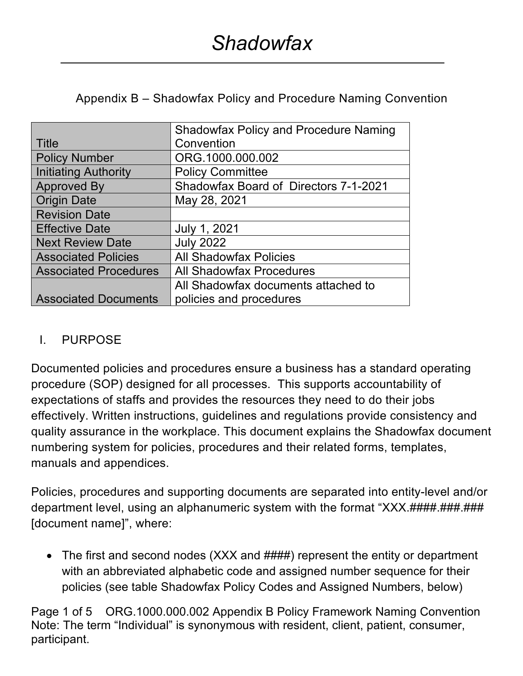Appendix B – Shadowfax Policy and Procedure Naming Convention

|                              | <b>Shadowfax Policy and Procedure Naming</b> |
|------------------------------|----------------------------------------------|
| <b>Title</b>                 | Convention                                   |
| <b>Policy Number</b>         | ORG.1000.000.002                             |
| <b>Initiating Authority</b>  | <b>Policy Committee</b>                      |
| <b>Approved By</b>           | Shadowfax Board of Directors 7-1-2021        |
| <b>Origin Date</b>           | May 28, 2021                                 |
| <b>Revision Date</b>         |                                              |
| <b>Effective Date</b>        | July 1, 2021                                 |
| <b>Next Review Date</b>      | <b>July 2022</b>                             |
| <b>Associated Policies</b>   | <b>All Shadowfax Policies</b>                |
| <b>Associated Procedures</b> | <b>All Shadowfax Procedures</b>              |
|                              | All Shadowfax documents attached to          |
| <b>Associated Documents</b>  | policies and procedures                      |

## I. PURPOSE

Documented policies and procedures ensure a business has a standard operating procedure (SOP) designed for all processes. This supports accountability of expectations of staffs and provides the resources they need to do their jobs effectively. Written instructions, guidelines and regulations provide consistency and quality assurance in the workplace. This document explains the Shadowfax document numbering system for policies, procedures and their related forms, templates, manuals and appendices.

Policies, procedures and supporting documents are separated into entity-level and/or department level, using an alphanumeric system with the format "XXX.####.###.###. [document name]", where:

• The first and second nodes (XXX and  $\# \# \# \#$ ) represent the entity or department with an abbreviated alphabetic code and assigned number sequence for their policies (see table Shadowfax Policy Codes and Assigned Numbers, below)

Page 1 of 5 ORG.1000.000.002 Appendix B Policy Framework Naming Convention Note: The term "Individual" is synonymous with resident, client, patient, consumer, participant.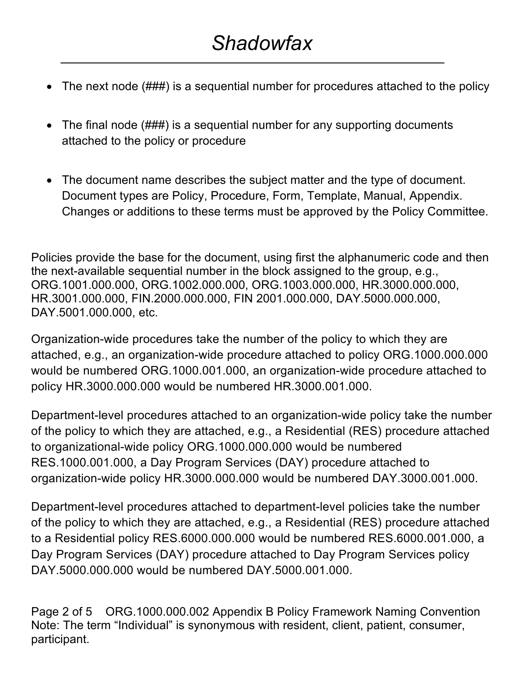## *Shadowfax*

- The next node (###) is a sequential number for procedures attached to the policy
- The final node (###) is a sequential number for any supporting documents attached to the policy or procedure
- The document name describes the subject matter and the type of document. Document types are Policy, Procedure, Form, Template, Manual, Appendix. Changes or additions to these terms must be approved by the Policy Committee.

Policies provide the base for the document, using first the alphanumeric code and then the next-available sequential number in the block assigned to the group, e.g., ORG.1001.000.000, ORG.1002.000.000, ORG.1003.000.000, HR.3000.000.000, HR.3001.000.000, FIN.2000.000.000, FIN 2001.000.000, DAY.5000.000.000, DAY.5001.000.000, etc.

Organization-wide procedures take the number of the policy to which they are attached, e.g., an organization-wide procedure attached to policy ORG.1000.000.000 would be numbered ORG.1000.001.000, an organization-wide procedure attached to policy HR.3000.000.000 would be numbered HR.3000.001.000.

Department-level procedures attached to an organization-wide policy take the number of the policy to which they are attached, e.g., a Residential (RES) procedure attached to organizational-wide policy ORG.1000.000.000 would be numbered RES.1000.001.000, a Day Program Services (DAY) procedure attached to organization-wide policy HR.3000.000.000 would be numbered DAY.3000.001.000.

Department-level procedures attached to department-level policies take the number of the policy to which they are attached, e.g., a Residential (RES) procedure attached to a Residential policy RES.6000.000.000 would be numbered RES.6000.001.000, a Day Program Services (DAY) procedure attached to Day Program Services policy DAY.5000.000.000 would be numbered DAY.5000.001.000.

Page 2 of 5 ORG.1000.000.002 Appendix B Policy Framework Naming Convention Note: The term "Individual" is synonymous with resident, client, patient, consumer, participant.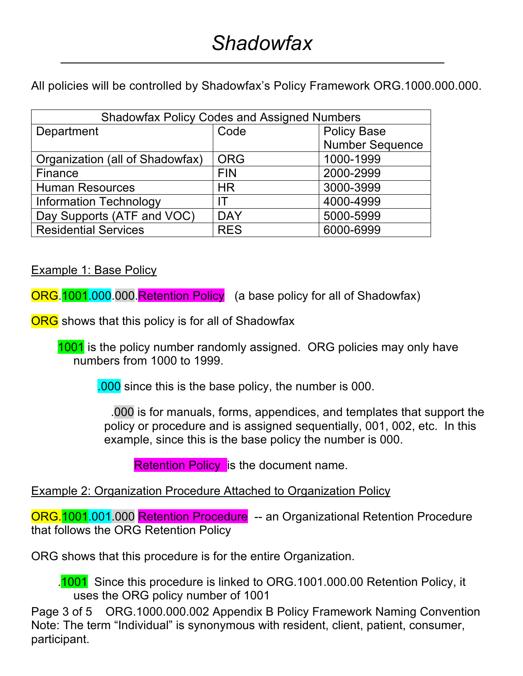All policies will be controlled by Shadowfax's Policy Framework ORG.1000.000.000.

| <b>Shadowfax Policy Codes and Assigned Numbers</b> |            |                        |  |  |  |
|----------------------------------------------------|------------|------------------------|--|--|--|
| Department                                         | Code       | <b>Policy Base</b>     |  |  |  |
|                                                    |            | <b>Number Sequence</b> |  |  |  |
| Organization (all of Shadowfax)                    | <b>ORG</b> | 1000-1999              |  |  |  |
| Finance                                            | <b>FIN</b> | 2000-2999              |  |  |  |
| <b>Human Resources</b>                             | <b>HR</b>  | 3000-3999              |  |  |  |
| <b>Information Technology</b>                      |            | 4000-4999              |  |  |  |
| Day Supports (ATF and VOC)                         | <b>DAY</b> | 5000-5999              |  |  |  |
| <b>Residential Services</b>                        | <b>RES</b> | 6000-6999              |  |  |  |

Example 1: Base Policy

ORG.1001.000.000.Retention Policy (a base policy for all of Shadowfax)

ORG shows that this policy is for all of Shadowfax

1001 is the policy number randomly assigned. ORG policies may only have numbers from 1000 to 1999.

.000 since this is the base policy, the number is 000.

 .000 is for manuals, forms, appendices, and templates that support the policy or procedure and is assigned sequentially, 001, 002, etc. In this example, since this is the base policy the number is 000.

**Retention Policy is the document name.** 

## Example 2: Organization Procedure Attached to Organization Policy

ORG.1001.001.000 Retention Procedure -- an Organizational Retention Procedure that follows the ORG Retention Policy

ORG shows that this procedure is for the entire Organization.

 .1001 Since this procedure is linked to ORG.1001.000.00 Retention Policy, it uses the ORG policy number of 1001

Page 3 of 5 ORG.1000.000.002 Appendix B Policy Framework Naming Convention Note: The term "Individual" is synonymous with resident, client, patient, consumer, participant.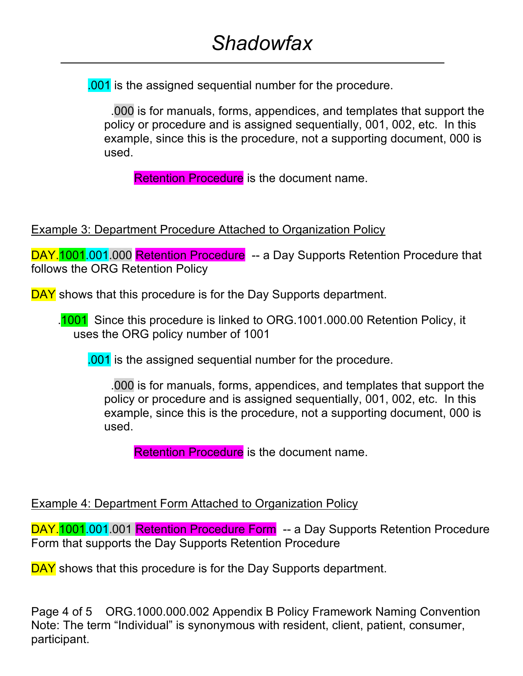.001 is the assigned sequential number for the procedure.

 .000 is for manuals, forms, appendices, and templates that support the policy or procedure and is assigned sequentially, 001, 002, etc. In this example, since this is the procedure, not a supporting document, 000 is used.

**Retention Procedure** is the document name.

Example 3: Department Procedure Attached to Organization Policy

DAY.<sup>1001</sup>.001.000 Retention Procedure -- a Day Supports Retention Procedure that follows the ORG Retention Policy

DAY shows that this procedure is for the Day Supports department.

.1001 Since this procedure is linked to ORG.1001.000.00 Retention Policy, it uses the ORG policy number of 1001

.001 is the assigned sequential number for the procedure.

 .000 is for manuals, forms, appendices, and templates that support the policy or procedure and is assigned sequentially, 001, 002, etc. In this example, since this is the procedure, not a supporting document, 000 is used.

Retention Procedure is the document name.

## Example 4: Department Form Attached to Organization Policy

DAY.<sup>1001</sup>.001.001 Retention Procedure Form -- a Day Supports Retention Procedure Form that supports the Day Supports Retention Procedure

DAY shows that this procedure is for the Day Supports department.

Page 4 of 5 ORG.1000.000.002 Appendix B Policy Framework Naming Convention Note: The term "Individual" is synonymous with resident, client, patient, consumer, participant.